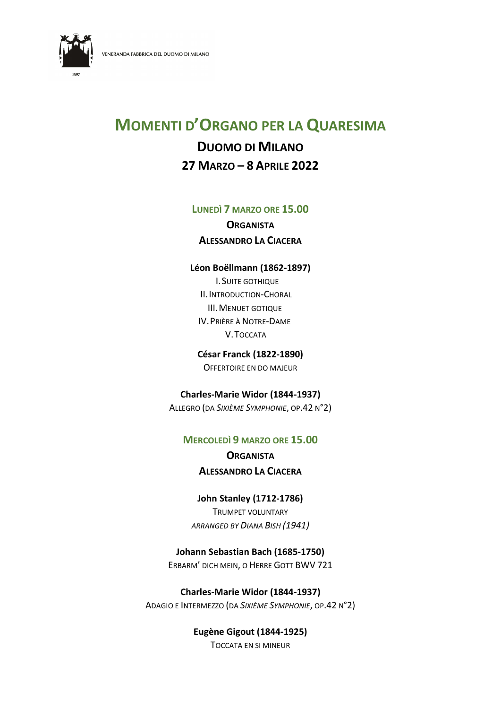

# MOMENTI D'ORGANO PER LA QUARESIMA

# DUOMO DI MILANO 27 MARZO – 8 APRILE 2022

#### LUNEDÌ 7 MARZO ORE 15.00

**ORGANISTA** ALESSANDRO LA CIACERA

#### Léon Boëllmann (1862-1897)

I.SUITE GOTHIQUE II.INTRODUCTION-CHORAL III.MENUET GOTIQUE IV.PRIÈRE À NOTRE-DAME V.TOCCATA

César Franck (1822-1890) OFFERTOIRE EN DO MAJEUR

Charles-Marie Widor (1844-1937) ALLEGRO (DA SIXIÈME SYMPHONIE, OP.42 N°2)

# MERCOLEDÌ 9 MARZO ORE 15.00

**ORGANISTA** ALESSANDRO LA CIACERA

John Stanley (1712-1786) TRUMPET VOLUNTARY ARRANGED BY DIANA BISH (1941)

# Johann Sebastian Bach (1685-1750)

ERBARM' DICH MEIN, O HERRE GOTT BWV 721

Charles-Marie Widor (1844-1937) ADAGIO E INTERMEZZO (DA SIXIÈME SYMPHONIE, OP.42 N°2)

> Eugène Gigout (1844-1925) TOCCATA EN SI MINEUR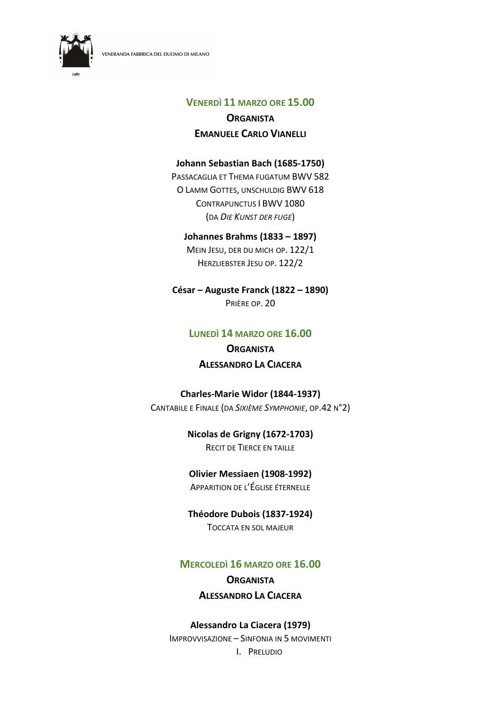



#### VENERDÌ 11 MARZO ORE 15.00

# **ORGANISTA** EMANUELE CARLO VIANELLI

### Johann Sebastian Bach (1685-1750)

PASSACAGLIA ET THEMA FUGATUM BWV 582 O LAMM GOTTES, UNSCHULDIG BWV 618 CONTRAPUNCTUS I BWV 1080 (DA DIE KUNST DER FUGE)

#### Johannes Brahms (1833 – 1897)

MEIN JESU, DER DU MICH OP. 122/1 HERZLIEBSTER JESU OP. 122/2

#### César – Auguste Franck (1822 – 1890)

PRIÈRE OP. 20

# LUNEDÌ 14 MARZO ORE 16.00

# **ORGANISTA** ALESSANDRO LA CIACERA

#### Charles-Marie Widor (1844-1937)

CANTABILE E FINALE (DA SIXIÈME SYMPHONIE, OP.42 N°2)

# Nicolas de Grigny (1672-1703)

RECIT DE TIERCE EN TAILLE

# Olivier Messiaen (1908-1992)

APPARITION DE L'ÉGLISE ÉTERNELLE

# Théodore Dubois (1837-1924)

TOCCATA EN SOL MAJEUR

# MERCOLEDÌ 16 MARZO ORE 16.00

# **ORGANISTA** ALESSANDRO LA CIACERA

# Alessandro La Ciacera (1979)

IMPROVVISAZIONE – SINFONIA IN 5 MOVIMENTI I. PRELUDIO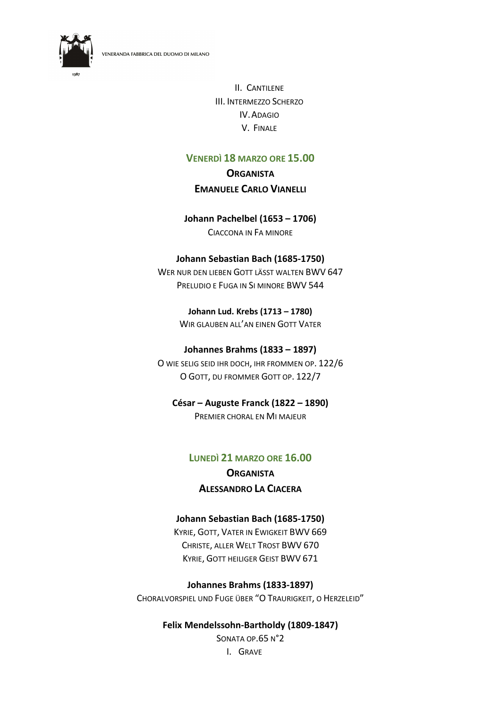

II. CANTILENE III. INTERMEZZO SCHERZO IV.ADAGIO V. FINALE

# VENERDÌ 18 MARZO ORE 15.00

# **ORGANISTA** EMANUELE CARLO VIANELLI

#### Johann Pachelbel (1653 – 1706)

CIACCONA IN FA MINORE

#### Johann Sebastian Bach (1685-1750)

WER NUR DEN LIEBEN GOTT LÄSST WALTEN BWV 647 PRELUDIO E FUGA IN SI MINORE BWV 544

> Johann Lud. Krebs (1713 – 1780) WIR GLAUBEN ALL'AN EINEN GOTT VATER

#### Johannes Brahms (1833 – 1897)

O WIE SELIG SEID IHR DOCH, IHR FROMMEN OP. 122/6 O GOTT, DU FROMMER GOTT OP. 122/7

# César – Auguste Franck (1822 – 1890)

PREMIER CHORAL EN MI MAJEUR

# LUNEDÌ 21 MARZO ORE 16.00 **ORGANISTA** ALESSANDRO LA CIACERA

# Johann Sebastian Bach (1685-1750)

KYRIE, GOTT, VATER IN EWIGKEIT BWV 669 CHRISTE, ALLER WELT TROST BWV 670 KYRIE, GOTT HEILIGER GEIST BWV 671

Johannes Brahms (1833-1897) CHORALVORSPIEL UND FUGE ÜBER "O TRAURIGKEIT, O HERZELEID"

# Felix Mendelssohn-Bartholdy (1809-1847)

SONATA OP.65 N°2 I. GRAVE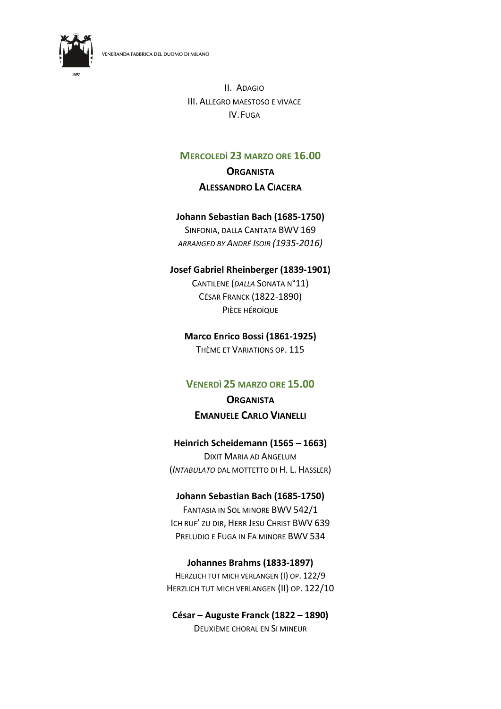

II. ADAGIO III. ALLEGRO MAESTOSO E VIVACE IV.FUGA

# MERCOLEDÌ 23 MARZO ORE 16.00

# **ORGANISTA** ALESSANDRO LA CIACERA

#### Johann Sebastian Bach (1685-1750)

SINFONIA, DALLA CANTATA BWV 169 ARRANGED BY ANDRÉ ISOIR (1935-2016)

#### Josef Gabriel Rheinberger (1839-1901)

CANTILENE (DALLA SONATA N°11) CÉSAR FRANCK (1822-1890) PIÈCE HÉROÏQUE

#### Marco Enrico Bossi (1861-1925)

THÈME ET VARIATIONS OP. 115

#### VENERDÌ 25 MARZO ORE 15.00

# **ORGANISTA** EMANUELE CARLO VIANELLI

# Heinrich Scheidemann (1565 – 1663)

DIXIT MARIA AD ANGELUM (INTABULATO DAL MOTTETTO DI H. L. HASSLER)

#### Johann Sebastian Bach (1685-1750)

FANTASIA IN SOL MINORE BWV 542/1 ICH RUF' ZU DIR, HERR JESU CHRIST BWV 639 PRELUDIO E FUGA IN FA MINORE BWV 534

#### Johannes Brahms (1833-1897)

HERZLICH TUT MICH VERLANGEN (I) OP. 122/9 HERZLICH TUT MICH VERLANGEN (II) OP. 122/10

#### César – Auguste Franck (1822 – 1890) DEUXIÈME CHORAL EN SI MINEUR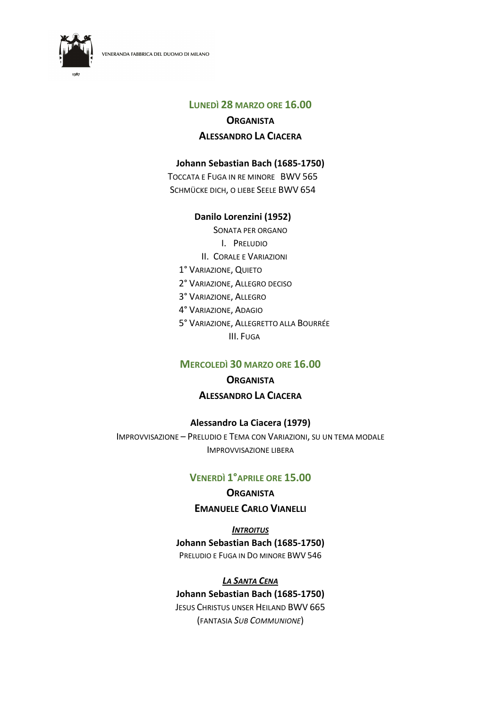VENERANDA FABBRICA DEL DUOMO DI MILANO



# LUNEDÌ 28 MARZO ORE 16.00

**ORGANISTA** 

# ALESSANDRO LA CIACERA

#### Johann Sebastian Bach (1685-1750)

TOCCATA E FUGA IN RE MINORE BWV 565 SCHMÜCKE DICH, O LIEBE SEELE BWV 654

#### Danilo Lorenzini (1952)

SONATA PER ORGANO I. PRELUDIO II. CORALE E VARIAZIONI 1° VARIAZIONE, QUIETO 2° VARIAZIONE, ALLEGRO DECISO 3° VARIAZIONE, ALLEGRO 4° VARIAZIONE, ADAGIO 5° VARIAZIONE, ALLEGRETTO ALLA BOURRÉE III. FUGA

# MERCOLEDÌ 30 MARZO ORE 16.00

# **ORGANISTA** ALESSANDRO LA CIACERA

# Alessandro La Ciacera (1979)

IMPROVVISAZIONE – PRELUDIO E TEMA CON VARIAZIONI, SU UN TEMA MODALE IMPROVVISAZIONE LIBERA

# VENERDÌ 1°APRILE ORE 15.00

# **ORGANISTA** EMANUELE CARLO VIANELLI

**INTROITUS** Johann Sebastian Bach (1685-1750) PRELUDIO E FUGA IN DO MINORE BWV 546

# LA SANTA CENA Johann Sebastian Bach (1685-1750) JESUS CHRISTUS UNSER HEILAND BWV 665 (FANTASIA SUB COMMUNIONE)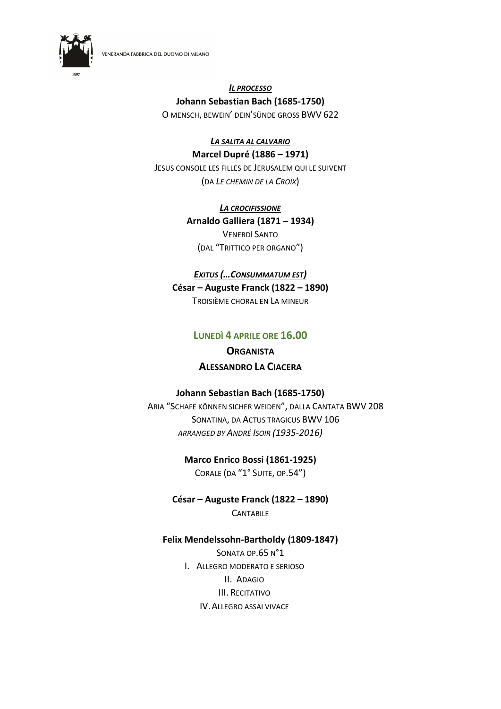

#### IL PROCESSO Johann Sebastian Bach (1685-1750)

O MENSCH, BEWEIN' DEIN'SÜNDE GROSS BWV 622

#### LA SALITA AL CALVARIO Marcel Dupré (1886 – 1971)

JESUS CONSOLE LES FILLES DE JERUSALEM QUI LE SUIVENT (DA LE CHEMIN DE LA CROIX)

> LA CROCIFISSIONE Arnaldo Galliera (1871 – 1934) VENERDÌ SANTO

(DAL "TRITTICO PER ORGANO")

#### EXITUS (…CONSUMMATUM EST)

César – Auguste Franck (1822 – 1890)

TROISIÈME CHORAL EN LA MINEUR

# LUNEDÌ 4 APRILE ORE 16.00

# **ORGANISTA** ALESSANDRO LA CIACERA

#### Johann Sebastian Bach (1685-1750)

ARIA "SCHAFE KÖNNEN SICHER WEIDEN", DALLA CANTATA BWV 208 SONATINA, DA ACTUS TRAGICUS BWV 106 ARRANGED BY ANDRÉ ISOIR (1935-2016)

> Marco Enrico Bossi (1861-1925) CORALE (DA "1° SUITE, OP.54")

César – Auguste Franck (1822 – 1890) **CANTABILE** 

#### Felix Mendelssohn-Bartholdy (1809-1847)

SONATA OP.65 N°1 I. ALLEGRO MODERATO E SERIOSO II. ADAGIO III. RECITATIVO IV.ALLEGRO ASSAI VIVACE